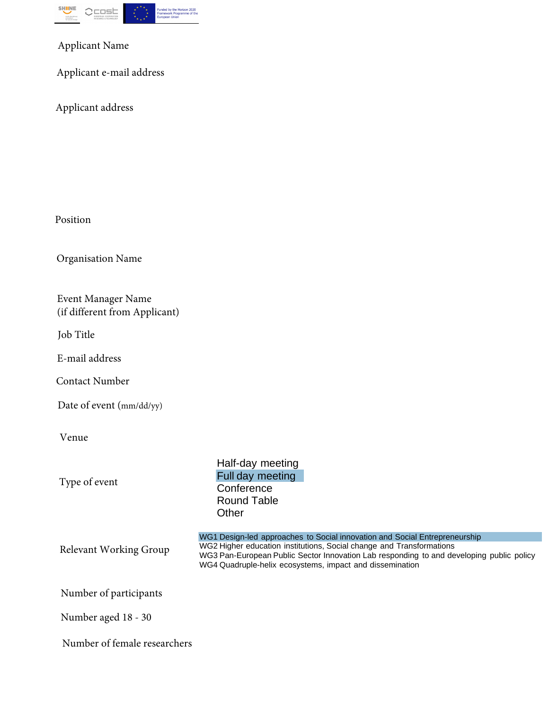

Applicant Name

Applicant e-mail address

Applicant address

Position

Organisation Name

Event Manager Name (if different from Applicant)

Job Title

E-mail address

Contact Number

Date of event (mm/dd/yy)

Venue

Type of event

Half-day meeting Full day meeting **Conference** Round Table **Other** 

Relevant Working Group

WG1 Design-led approaches to Social innovation and Social Entrepreneurship WG2 Higher education institutions, Social change and Transformations WG3 Pan-European Public Sector Innovation Lab responding to and developing public policy WG4 Quadruple-helix ecosystems, impact and dissemination

Number of participants

Number aged 18 - 30

Number of female researchers